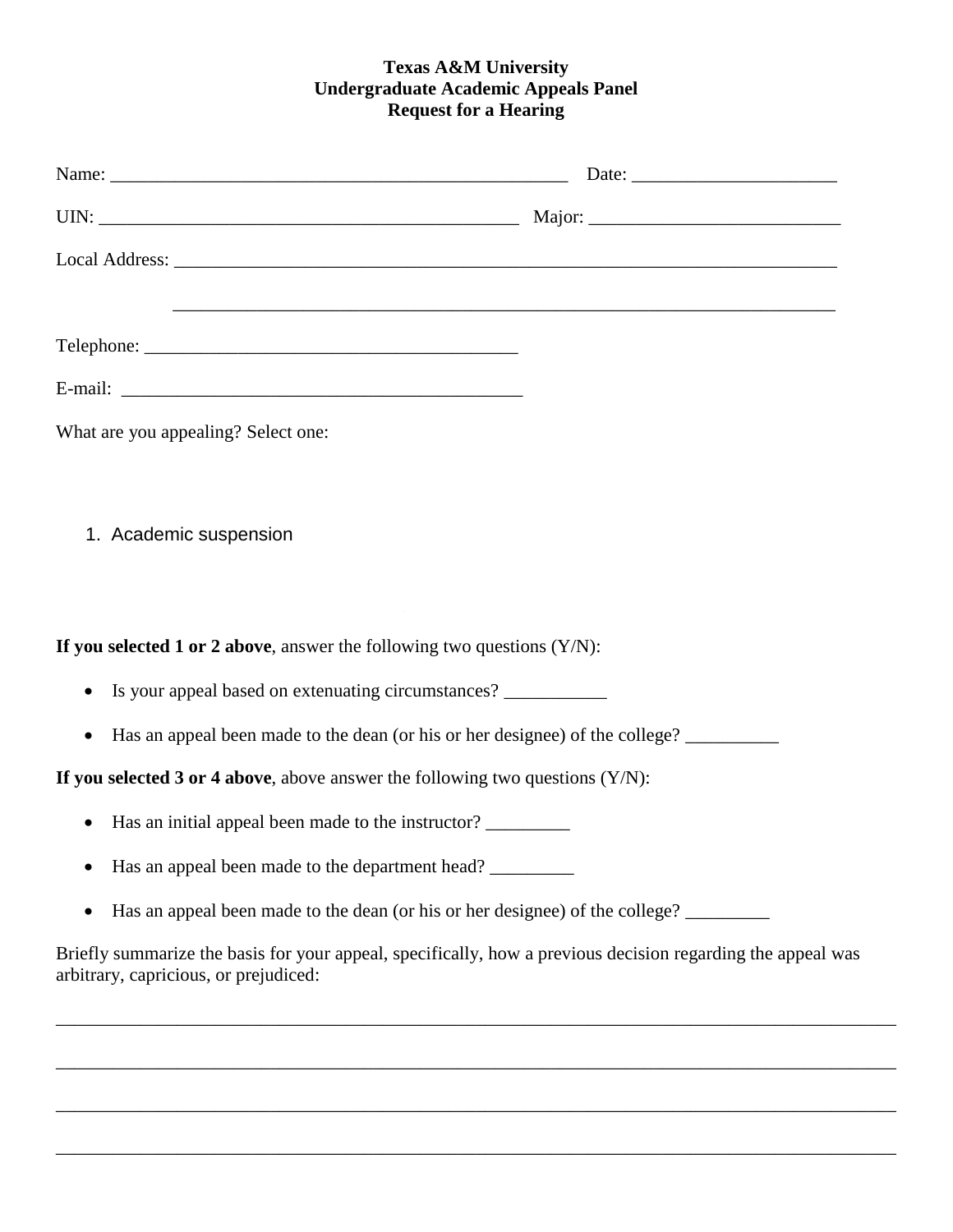## **Texas A&M University Undergraduate Academic Appeals Panel Request for a Hearing**

| What are you appealing? Select one:                                                                                                                  |  |
|------------------------------------------------------------------------------------------------------------------------------------------------------|--|
|                                                                                                                                                      |  |
| 1. Academic suspension                                                                                                                               |  |
|                                                                                                                                                      |  |
|                                                                                                                                                      |  |
| If you selected 1 or 2 above, answer the following two questions $(Y/N)$ :                                                                           |  |
| Is your appeal based on extenuating circumstances? ___________<br>$\bullet$                                                                          |  |
| Has an appeal been made to the dean (or his or her designee) of the college?<br>$\bullet$                                                            |  |
| If you selected 3 or 4 above, above answer the following two questions $(Y/N)$ :                                                                     |  |
| Has an initial appeal been made to the instructor?                                                                                                   |  |
| Has an appeal been made to the department head?                                                                                                      |  |
| Has an appeal been made to the dean (or his or her designee) of the college?<br>$\bullet$                                                            |  |
| Briefly summarize the basis for your appeal, specifically, how a previous decision regarding the appeal was<br>arbitrary, capricious, or prejudiced: |  |

\_\_\_\_\_\_\_\_\_\_\_\_\_\_\_\_\_\_\_\_\_\_\_\_\_\_\_\_\_\_\_\_\_\_\_\_\_\_\_\_\_\_\_\_\_\_\_\_\_\_\_\_\_\_\_\_\_\_\_\_\_\_\_\_\_\_\_\_\_\_\_\_\_\_\_\_\_\_\_\_\_\_\_\_\_\_\_\_\_\_

\_\_\_\_\_\_\_\_\_\_\_\_\_\_\_\_\_\_\_\_\_\_\_\_\_\_\_\_\_\_\_\_\_\_\_\_\_\_\_\_\_\_\_\_\_\_\_\_\_\_\_\_\_\_\_\_\_\_\_\_\_\_\_\_\_\_\_\_\_\_\_\_\_\_\_\_\_\_\_\_\_\_\_\_\_\_\_\_\_\_

\_\_\_\_\_\_\_\_\_\_\_\_\_\_\_\_\_\_\_\_\_\_\_\_\_\_\_\_\_\_\_\_\_\_\_\_\_\_\_\_\_\_\_\_\_\_\_\_\_\_\_\_\_\_\_\_\_\_\_\_\_\_\_\_\_\_\_\_\_\_\_\_\_\_\_\_\_\_\_\_\_\_\_\_\_\_\_\_\_\_